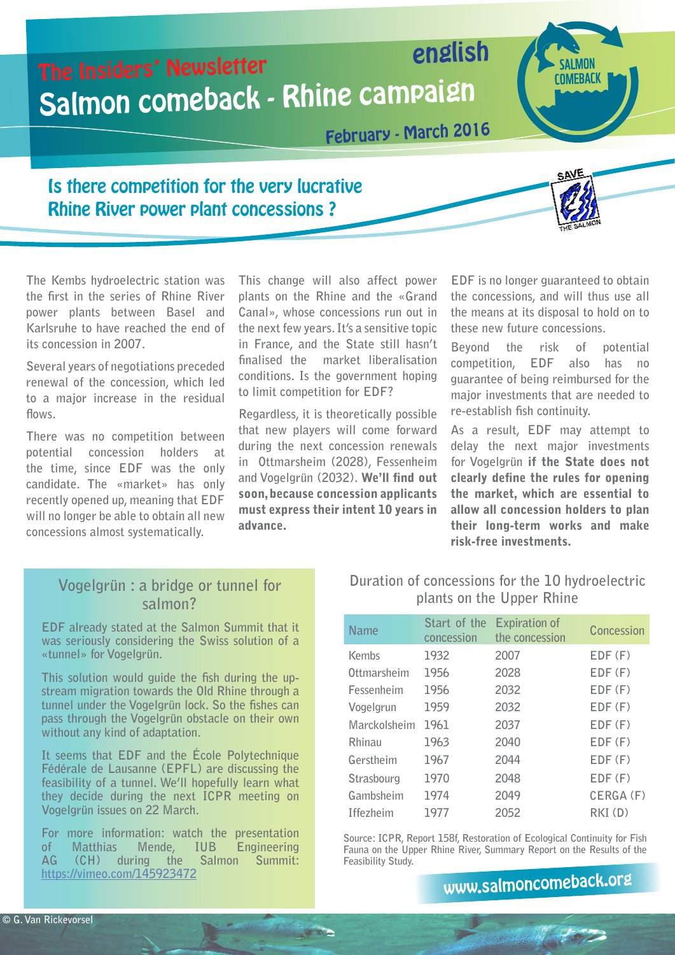

**The Kembs hydroelectric station was the first in the series of Rhine River power plants between Basel and Karlsruhe to have reached the end of its concession in 2007.**

**Several years of negotiations preceded renewal of the concession, which led to a major increase in the residual flows.**

**There was no competition between potential concession holders at the time, since EDF was the only candidate. The «market» has only recently opened up, meaning that EDF will no longer be able to obtain all new concessions almost systematically.** 

**This change will also affect power plants on the Rhine and the «Grand Canal», whose concessions run out in the next few years. It's a sensitive topic in France, and the State still hasn't finalised the market liberalisation conditions. Is the government hoping to limit competition for EDF?**

**Regardless, it is theoretically possible that new players will come forward during the next concession renewals in Ottmarsheim (2028), Fessenheim and Vogelgrün (2032).** We'll find out soon, because concession applicants must express their intent 10 years in advance.

**EDF is no longer guaranteed to obtain the concessions, and will thus use all the means at its disposal to hold on to these new future concessions.**

**Beyond the risk of potential competition, EDF also has no guarantee of being reimbursed for the major investments that are needed to re-establish fish continuity.**

**As a result, EDF may attempt to delay the next major investments for Vogelgrün** if the State does not clearly define the rules for opening the market, which are essential to allow all concession holders to plan their long-term works and make risk-free investments.

### **Vogelgrün : a bridge or tunnel for salmon?**

**EDF already stated at the Salmon Summit that it was seriously considering the Swiss solution of a «tunnel» for Vogelgrün.**

**This solution would guide the fish during the upstream migration towards the Old Rhine through a tunnel under the Vogelgrün lock. So the fishes can pass through the Vogelgrün obstacle on their own without any kind of adaptation.**

**It seems that EDF and the École Polytechnique Fédérale de Lausanne (EPFL) are discussing the feasibility of a tunnel. We'll hopefully learn what they decide during the next ICPR meeting on Vogelgrün issues on 22 March.**

**For more information: watch the presentation**  Matthias Mende, IUB Engineering<br>
(CH) during the Salmon Summit: **AG (CH) during the Salmon Summit: https://vimeo.com/145923472**

### **Duration of concessions for the 10 hydroelectric plants on the Upper Rhine**

| <b>Name</b>      | Start of the<br>concession | <b>Expiration of</b><br>the concession | Concession  |
|------------------|----------------------------|----------------------------------------|-------------|
| Kembs            | 1932                       | 2007                                   | $EDF$ $(F)$ |
| Ottmarsheim      | 1956                       | 2028                                   | $EDF$ $(F)$ |
| Fessenheim       | 1956                       | 2032                                   | $EDF$ $(F)$ |
| Vogelgrun        | 1959                       | 2032                                   | $EDF$ $(F)$ |
| Marckolsheim     | 1961                       | 2037                                   | $EDF$ $(F)$ |
| Rhinau           | 1963                       | 2040                                   | $EDF$ $(F)$ |
| Gerstheim        | 1967                       | 2044                                   | $EDF$ $(F)$ |
| Strasbourg       | 1970                       | 2048                                   | $EDF$ $(F)$ |
| Gambsheim        | 1974                       | 2049                                   | CERGA (F)   |
| <b>Iffezheim</b> | 1977                       | 2052                                   | $RKI$ (D)   |

**Source: ICPR, Report 158f, Restoration of Ecological Continuity for Fish Fauna on the Upper Rhine River, Summary Report on the Results of the Feasibility Study.**

www[.salmoncome](http://www.salmoncomeback.org/de/)back.org